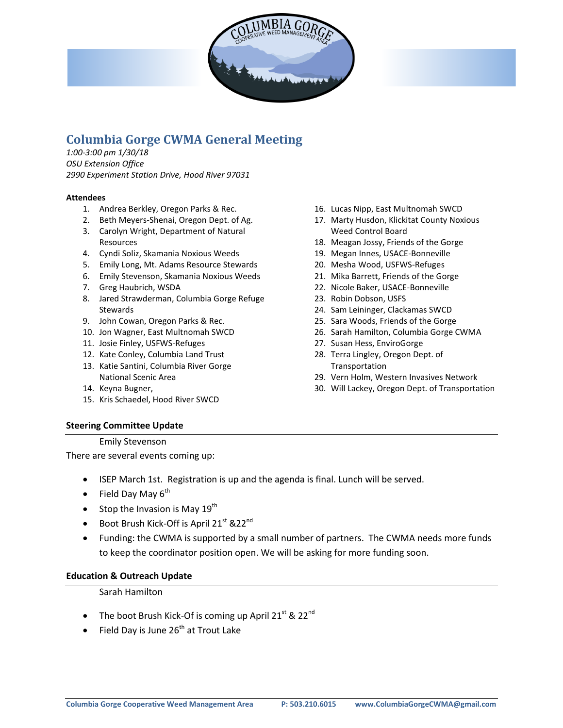

# **Columbia Gorge CWMA General Meeting**

*1:00-3:00 pm 1/30/18 OSU Extension Office 2990 Experiment Station Drive, Hood River 97031*

#### **Attendees**

- 1. Andrea Berkley, Oregon Parks & Rec.
- 2. Beth Meyers-Shenai, Oregon Dept. of Ag.
- 3. Carolyn Wright, Department of Natural Resources
- 4. Cyndi Soliz, Skamania Noxious Weeds
- 5. Emily Long, Mt. Adams Resource Stewards
- 6. Emily Stevenson, Skamania Noxious Weeds
- 7. Greg Haubrich, WSDA
- 8. Jared Strawderman, Columbia Gorge Refuge Stewards
- 9. John Cowan, Oregon Parks & Rec.
- 10. Jon Wagner, East Multnomah SWCD
- 11. Josie Finley, USFWS-Refuges
- 12. Kate Conley, Columbia Land Trust
- 13. Katie Santini, Columbia River Gorge National Scenic Area
- 14. Keyna Bugner,
- 15. Kris Schaedel, Hood River SWCD

#### **Steering Committee Update**

#### Emily Stevenson

There are several events coming up:

- ISEP March 1st. Registration is up and the agenda is final. Lunch will be served.
- Field Day May  $6^{th}$
- Stop the Invasion is May  $19^{th}$
- Boot Brush Kick-Off is April 21<sup>st</sup> &22<sup>nd</sup>
- Funding: the CWMA is supported by a small number of partners. The CWMA needs more funds to keep the coordinator position open. We will be asking for more funding soon.

#### **Education & Outreach Update**

Sarah Hamilton

- The boot Brush Kick-Of is coming up April 21<sup>st</sup> & 22<sup>nd</sup>
- Field Day is June 26<sup>th</sup> at Trout Lake
- 16. Lucas Nipp, East Multnomah SWCD
- 17. Marty Husdon, Klickitat County Noxious Weed Control Board
- 18. Meagan Jossy, Friends of the Gorge
- 19. Megan Innes, USACE-Bonneville
- 20. Mesha Wood, USFWS-Refuges
- 21. Mika Barrett, Friends of the Gorge
- 22. Nicole Baker, USACE-Bonneville
- 23. Robin Dobson, USFS
- 24. Sam Leininger, Clackamas SWCD
- 25. Sara Woods, Friends of the Gorge
- 26. Sarah Hamilton, Columbia Gorge CWMA
- 27. Susan Hess, EnviroGorge
- 28. Terra Lingley, Oregon Dept. of **Transportation**
- 29. Vern Holm, Western Invasives Network
- 30. Will Lackey, Oregon Dept. of Transportation